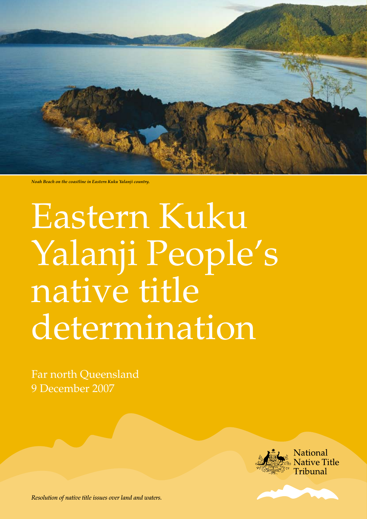

*Noah Beach on the coastline in Eastern Kuku Yalanji country.*

# Eastern Kuku Yalanji People's native title determination

Far north Queensland 9 December 2007



*Resolution of native title issues over land and waters.*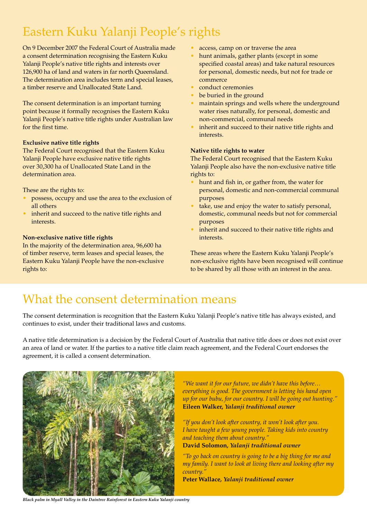### Eastern Kuku Yalanji People's rights

On 9 December 2007 the Federal Court of Australia made a consent determination recognising the Eastern Kuku Yalanji People's native title rights and interests over 126,900 ha of land and waters in far north Queensland. The determination area includes term and special leases, a timber reserve and Unallocated State Land.

The consent determination is an important turning point because it formally recognises the Eastern Kuku Yalanji People's native title rights under Australian law for the first time.

#### **Exclusive native title rights**

The Federal Court recognised that the Eastern Kuku Yalanji People have exclusive native title rights over 30,300 ha of Unallocated State Land in the determination area.

These are the rights to:

- possess, occupy and use the area to the exclusion of all others
- inherit and succeed to the native title rights and interests.

#### **Non-exclusive native title rights**

In the majority of the determination area, 96,600 ha of timber reserve, term leases and special leases, the Eastern Kuku Yalanji People have the non-exclusive rights to:

- access, camp on or traverse the area
- hunt animals, gather plants (except in some specified coastal areas) and take natural resources for personal, domestic needs, but not for trade or commerce
- conduct ceremonies
- be buried in the ground
- maintain springs and wells where the underground water rises naturally, for personal, domestic and non-commercial, communal needs
- inherit and succeed to their native title rights and interests.

#### **Native title rights to water**

The Federal Court recognised that the Eastern Kuku Yalanji People also have the non-exclusive native title rights to:

- hunt and fish in, or gather from, the water for personal, domestic and non-commercial communal purposes
- take, use and enjoy the water to satisfy personal, domestic, communal needs but not for commercial purposes
- inherit and succeed to their native title rights and interests.

These areas where the Eastern Kuku Yalanji People's non-exclusive rights have been recognised will continue to be shared by all those with an interest in the area.

### What the consent determination means

The consent determination is recognition that the Eastern Kuku Yalanji People's native title has always existed, and continues to exist, under their traditional laws and customs.

A native title determination is a decision by the Federal Court of Australia that native title does or does not exist over an area of land or water. If the parties to a native title claim reach agreement, and the Federal Court endorses the agreement, it is called a consent determination.



*"We want it for our future, we didn't have this before… everything is good. The government is letting his hand open up for our bubu, for our country. I will be going out hunting."* **Eileen Walker,** *Yalanji traditional owner*

*"If you don't look after country, it won't look after you. I have taught a few young people. Taking kids into country and teaching them about country."* **David Solomon***, Yalanji traditional owner*

*"To go back on country is going to be a big thing for me and my family. I want to look at living there and looking after my country."*

**Peter Wallace***, Yalanji traditional owner*

*Black palm in Myall Valley in the Daintree Rainforest in Eastern Kuku Yalanji country*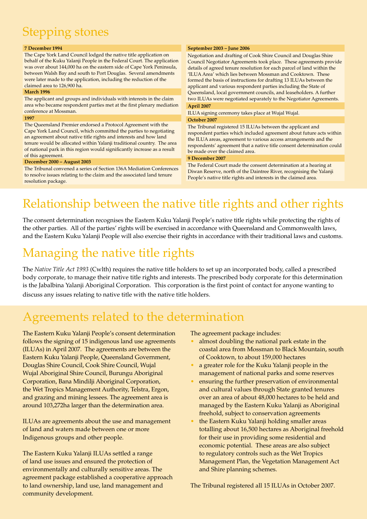## Stepping stones

#### **7 December 1994**

The Cape York Land Council lodged the native title application on behalf of the Kuku Yalanji People in the Federal Court. The application was over about 144,000 ha on the eastern side of Cape York Peninsula, between Walsh Bay and south to Port Douglas. Several amendments were later made to the application, including the reduction of the claimed area to 126,900 ha.

#### **March 1996**

The applicant and groups and individuals with interests in the claim area who became respondent parties met at the first plenary mediation conference at Mossman.

#### **1997**

The Queensland Premier endorsed a Protocol Agreement with the Cape York Land Council, which committed the parties to negotiating an agreement about native title rights and interests and how land tenure would be allocated within Yalanji traditional country. The area of national park in this region would significantly increase as a result of this agreement.

#### **December 2000 – August 2003**

The Tribunal convened a series of Section 136A Mediation Conferences to resolve issues relating to the claim and the associated land tenure resolution package.

#### **September 2003 – June 2006**

Negotiation and drafting of Cook Shire Council and Douglas Shire Council Negotiator Agreements took place. These agreements provide details of agreed tenure resolution for each parcel of land within the 'ILUA Area' which lies between Mossman and Cooktown. These formed the basis of instructions for drafting 13 ILUAs between the applicant and various respondent parties including the State of Queensland, local government councils, and leaseholders. A further two ILUAs were negotiated separately to the Negotiator Agreements. **April 2007**

ILUA signing ceremony takes place at Wujal Wujal. **October 2007**

The Tribunal registered 15 ILUAs between the applicant and respondent parties which included agreement about future acts within the ILUA areas, agreement to various access arrangements and the respondents' agreement that a native title consent determination could be made over the claimed area.

#### **9 December 2007**

The Federal Court made the consent determination at a hearing at Diwan Reserve, north of the Daintree River, recognising the Yalanji People's native title rights and interests in the claimed area.

### Relationship between the native title rights and other rights

The consent determination recognises the Eastern Kuku Yalanji People's native title rights while protecting the rights of the other parties. All of the parties' rights will be exercised in accordance with Queensland and Commonwealth laws, and the Eastern Kuku Yalanji People will also exercise their rights in accordance with their traditional laws and customs.

### Managing the native title rights

The *Native Title Act 1993* (Cwlth) requires the native title holders to set up an incorporated body, called a prescribed body corporate, to manage their native title rights and interests. The prescribed body corporate for this determination is the Jabalbina Yalanji Aboriginal Corporation. This corporation is the first point of contact for anyone wanting to discuss any issues relating to native title with the native title holders.

### Agreements related to the determination

The Eastern Kuku Yalanji People's consent determination follows the signing of 15 indigenous land use agreements (ILUAs) in April 2007. The agreements are between the Eastern Kuku Yalanji People, Queensland Government, Douglas Shire Council, Cook Shire Council, Wujal Wujal Aboriginal Shire Council, Burungu Aboriginal Corporation, Bana Mindilji Aboriginal Corporation, the Wet Tropics Management Authority, Telstra, Ergon, and grazing and mining lessees. The agreement area is around 103,272ha larger than the determination area.

ILUAs are agreements about the use and management of land and waters made between one or more Indigenous groups and other people.

The Eastern Kuku Yalanji ILUAs settled a range of land use issues and ensured the protection of environmentally and culturally sensitive areas. The agreement package established a cooperative approach to land ownership, land use, land management and community development.

The agreement package includes:

- almost doubling the national park estate in the coastal area from Mossman to Black Mountain, south of Cooktown, to about 159,000 hectares
- a greater role for the Kuku Yalanji people in the management of national parks and some reserves
- ensuring the further preservation of environmental and cultural values through State granted tenures over an area of about 48,000 hectares to be held and managed by the Eastern Kuku Yalanji as Aboriginal freehold, subject to conservation agreements
- the Eastern Kuku Yalanji holding smaller areas totalling about 16,500 hectares as Aboriginal freehold for their use in providing some residential and economic potential. These areas are also subject to regulatory controls such as the Wet Tropics Management Plan, the Vegetation Management Act and Shire planning schemes.

The Tribunal registered all 15 ILUAs in October 2007.